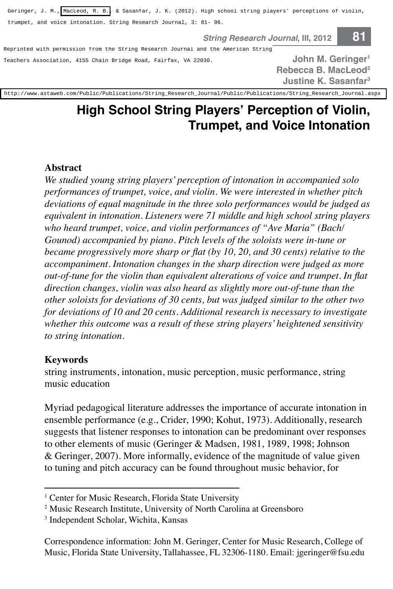Geringer, J. M., [MacLeod, R. B.,](http://libres.uncg.edu/ir/uncg/clist.aspx?id=3788) & Sasanfar, J. K. (2012). High school string players' perceptions of violin,

**String Research Journal, III, 2012 81** 

trumpet, and voice intonation. String Research Journal, 3: 81- 96.<br>**String Research Journal String Research American String**<br>Reprinted with permission from the String Research Journal and the American String Teachers Association, 4155 Chain Bridge Road, Fairfax, VA 22030.

**John M. Geringer1 Rebecca B. MacLeod2 Justine K. Sasanfar3**

[http://www.astaweb.com/Public/Publications/String\\_Research\\_Journal/Public/Publications/String\\_Research\\_Journal.aspx](http://www.astaweb.com/Public/Publications/String_Research_Journal/Public/Publications/String_Research_Journal.aspx)

# **High School String Players' Perception of Violin, Trumpet, and Voice Intonation**

#### **Abstract**

*We studied young string players' perception of intonation in accompanied solo performances of trumpet, voice, and violin. We were interested in whether pitch deviations of equal magnitude in the three solo performances would be judged as equivalent in intonation. Listeners were 71 middle and high school string players who heard trumpet, voice, and violin performances of "Ave Maria" (Bach/ Gounod) accompanied by piano. Pitch levels of the soloists were in-tune or became progressively more sharp or flat (by 10, 20, and 30 cents) relative to the accompaniment. Intonation changes in the sharp direction were judged as more out-of-tune for the violin than equivalent alterations of voice and trumpet. In flat direction changes, violin was also heard as slightly more out-of-tune than the other soloists for deviations of 30 cents, but was judged similar to the other two for deviations of 10 and 20 cents. Additional research is necessary to investigate whether this outcome was a result of these string players' heightened sensitivity to string intonation.*

#### **Keywords**

string instruments, intonation, music perception, music performance, string music education

Myriad pedagogical literature addresses the importance of accurate intonation in ensemble performance (e.g., Crider, 1990; Kohut, 1973). Additionally, research suggests that listener responses to intonation can be predominant over responses to other elements of music (Geringer & Madsen, 1981, 1989, 1998; Johnson & Geringer, 2007). More informally, evidence of the magnitude of value given to tuning and pitch accuracy can be found throughout music behavior, for

<sup>&</sup>lt;sup>1</sup> Center for Music Research, Florida State University

<sup>2</sup> Music Research Institute, University of North Carolina at Greensboro

<sup>3</sup> Independent Scholar, Wichita, Kansas

Correspondence information: John M. Geringer, Center for Music Research, College of Music, Florida State University, Tallahassee, FL 32306-1180. Email: jgeringer@fsu.edu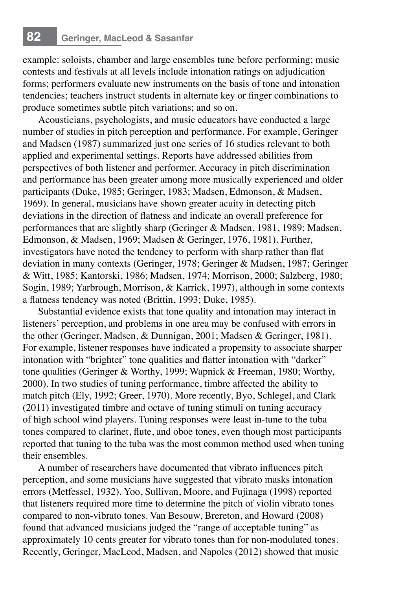# **82 Geringer, MacLeod & Sasanfar**

example: soloists, chamber and large ensembles tune before performing; music contests and festivals at all levels include intonation ratings on adjudication forms; performers evaluate new instruments on the basis of tone and intonation tendencies; teachers instruct students in alternate key or finger combinations to produce sometimes subtle pitch variations; and so on.

Acousticians, psychologists, and music educators have conducted a large number of studies in pitch perception and performance. For example, Geringer and Madsen (1987) summarized just one series of 16 studies relevant to both applied and experimental settings. Reports have addressed abilities from perspectives of both listener and performer. Accuracy in pitch discrimination and performance has been greater among more musically experienced and older participants (Duke, 1985; Geringer, 1983; Madsen, Edmonson, & Madsen, 1969). In general, musicians have shown greater acuity in detecting pitch deviations in the direction of flatness and indicate an overall preference for performances that are slightly sharp (Geringer & Madsen, 1981, 1989; Madsen, Edmonson, & Madsen, 1969; Madsen & Geringer, 1976, 1981). Further, investigators have noted the tendency to perform with sharp rather than flat deviation in many contexts (Geringer, 1978; Geringer & Madsen, 1987; Geringer & Witt, 1985; Kantorski, 1986; Madsen, 1974; Morrison, 2000; Salzberg, 1980; Sogin, 1989; Yarbrough, Morrison, & Karrick, 1997), although in some contexts a flatness tendency was noted (Brittin, 1993; Duke, 1985).

Substantial evidence exists that tone quality and intonation may interact in listeners' perception, and problems in one area may be confused with errors in the other (Geringer, Madsen, & Dunnigan, 2001; Madsen & Geringer, 1981). For example, listener responses have indicated a propensity to associate sharper intonation with "brighter" tone qualities and flatter intonation with "darker" tone qualities (Geringer & Worthy, 1999; Wapnick & Freeman, 1980; Worthy, 2000). In two studies of tuning performance, timbre affected the ability to match pitch (Ely, 1992; Greer, 1970). More recently, Byo, Schlegel, and Clark (2011) investigated timbre and octave of tuning stimuli on tuning accuracy of high school wind players. Tuning responses were least in-tune to the tuba tones compared to clarinet, flute, and oboe tones, even though most participants reported that tuning to the tuba was the most common method used when tuning their ensembles.

A number of researchers have documented that vibrato influences pitch perception, and some musicians have suggested that vibrato masks intonation errors (Metfessel, 1932). Yoo, Sullivan, Moore, and Fujinaga (1998) reported that listeners required more time to determine the pitch of violin vibrato tones compared to non-vibrato tones. Van Besouw, Brereton, and Howard (2008) found that advanced musicians judged the "range of acceptable tuning" as approximately 10 cents greater for vibrato tones than for non-modulated tones. Recently, Geringer, MacLeod, Madsen, and Napoles (2012) showed that music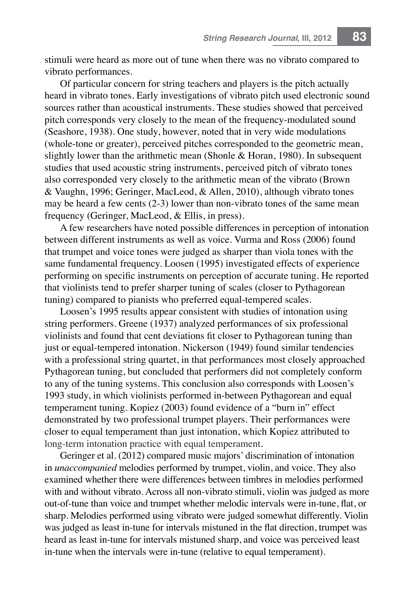stimuli were heard as more out of tune when there was no vibrato compared to vibrato performances.

Of particular concern for string teachers and players is the pitch actually heard in vibrato tones. Early investigations of vibrato pitch used electronic sound sources rather than acoustical instruments. These studies showed that perceived pitch corresponds very closely to the mean of the frequency-modulated sound (Seashore, 1938). One study, however, noted that in very wide modulations (whole-tone or greater), perceived pitches corresponded to the geometric mean, slightly lower than the arithmetic mean (Shonle & Horan, 1980). In subsequent studies that used acoustic string instruments, perceived pitch of vibrato tones also corresponded very closely to the arithmetic mean of the vibrato (Brown & Vaughn, 1996; Geringer, MacLeod, & Allen, 2010), although vibrato tones may be heard a few cents (2-3) lower than non-vibrato tones of the same mean frequency (Geringer, MacLeod, & Ellis, in press).

A few researchers have noted possible differences in perception of intonation between different instruments as well as voice. Vurma and Ross (2006) found that trumpet and voice tones were judged as sharper than viola tones with the same fundamental frequency. Loosen (1995) investigated effects of experience performing on specific instruments on perception of accurate tuning. He reported that violinists tend to prefer sharper tuning of scales (closer to Pythagorean tuning) compared to pianists who preferred equal-tempered scales.

Loosen's 1995 results appear consistent with studies of intonation using string performers. Greene (1937) analyzed performances of six professional violinists and found that cent deviations fit closer to Pythagorean tuning than just or equal-tempered intonation. Nickerson (1949) found similar tendencies with a professional string quartet, in that performances most closely approached Pythagorean tuning, but concluded that performers did not completely conform to any of the tuning systems. This conclusion also corresponds with Loosen's 1993 study, in which violinists performed in-between Pythagorean and equal temperament tuning. Kopiez (2003) found evidence of a "burn in" effect demonstrated by two professional trumpet players. Their performances were closer to equal temperament than just intonation, which Kopiez attributed to long-term intonation practice with equal temperament.

Geringer et al. (2012) compared music majors' discrimination of intonation in *unaccompanied* melodies performed by trumpet, violin, and voice. They also examined whether there were differences between timbres in melodies performed with and without vibrato. Across all non-vibrato stimuli, violin was judged as more out-of-tune than voice and trumpet whether melodic intervals were in-tune, flat, or sharp. Melodies performed using vibrato were judged somewhat differently. Violin was judged as least in-tune for intervals mistuned in the flat direction, trumpet was heard as least in-tune for intervals mistuned sharp, and voice was perceived least in-tune when the intervals were in-tune (relative to equal temperament).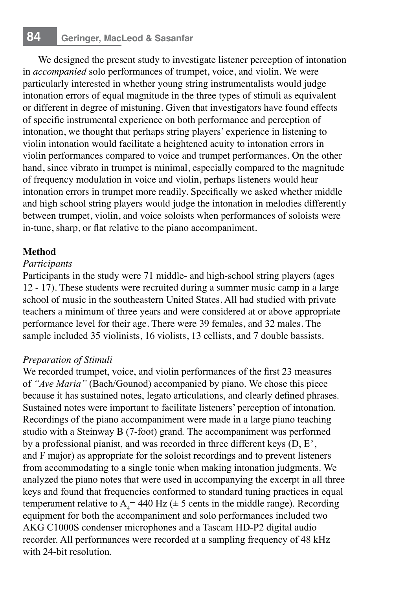We designed the present study to investigate listener perception of intonation in *accompanied* solo performances of trumpet, voice, and violin. We were particularly interested in whether young string instrumentalists would judge intonation errors of equal magnitude in the three types of stimuli as equivalent or different in degree of mistuning. Given that investigators have found effects of specific instrumental experience on both performance and perception of intonation, we thought that perhaps string players' experience in listening to violin intonation would facilitate a heightened acuity to intonation errors in violin performances compared to voice and trumpet performances. On the other hand, since vibrato in trumpet is minimal, especially compared to the magnitude of frequency modulation in voice and violin, perhaps listeners would hear intonation errors in trumpet more readily. Specifically we asked whether middle and high school string players would judge the intonation in melodies differently between trumpet, violin, and voice soloists when performances of soloists were in-tune, sharp, or flat relative to the piano accompaniment.

# **Method**

# *Participants*

Participants in the study were 71 middle- and high-school string players (ages 12 - 17). These students were recruited during a summer music camp in a large school of music in the southeastern United States. All had studied with private teachers a minimum of three years and were considered at or above appropriate performance level for their age. There were 39 females, and 32 males. The sample included 35 violinists, 16 violists, 13 cellists, and 7 double bassists.

# *Preparation of Stimuli*

We recorded trumpet, voice, and violin performances of the first 23 measures of *"Ave Maria"* (Bach/Gounod) accompanied by piano. We chose this piece because it has sustained notes, legato articulations, and clearly defined phrases. Sustained notes were important to facilitate listeners' perception of intonation. Recordings of the piano accompaniment were made in a large piano teaching studio with a Steinway B (7-foot) grand*.* The accompaniment was performed by a professional pianist, and was recorded in three different keys  $(D, E^{\flat})$ , and F major) as appropriate for the soloist recordings and to prevent listeners from accommodating to a single tonic when making intonation judgments. We analyzed the piano notes that were used in accompanying the excerpt in all three keys and found that frequencies conformed to standard tuning practices in equal temperament relative to  $A_4$  = 440 Hz ( $\pm$  5 cents in the middle range). Recording equipment for both the accompaniment and solo performances included two AKG C1000S condenser microphones and a Tascam HD-P2 digital audio recorder. All performances were recorded at a sampling frequency of 48 kHz with 24-bit resolution.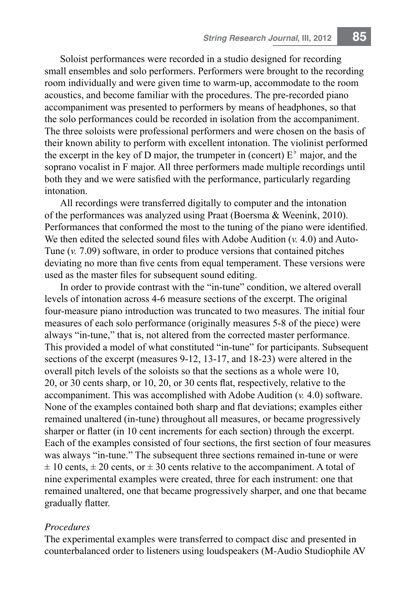Soloist performances were recorded in a studio designed for recording small ensembles and solo performers. Performers were brought to the recording room individually and were given time to warm-up, accommodate to the room acoustics, and become familiar with the procedures. The pre-recorded piano accompaniment was presented to performers by means of headphones, so that the solo performances could be recorded in isolation from the accompaniment. The three soloists were professional performers and were chosen on the basis of their known ability to perform with excellent intonation. The violinist performed the excerpt in the key of D major, the trumpeter in (concert)  $E<sup>b</sup>$  major, and the soprano vocalist in F major. All three performers made multiple recordings until both they and we were satisfied with the performance, particularly regarding intonation.

All recordings were transferred digitally to computer and the intonation of the performances was analyzed using Praat (Boersma & Weenink, 2010). Performances that conformed the most to the tuning of the piano were identified. We then edited the selected sound files with Adobe Audition (*v.* 4.0) and Auto-Tune (*v.* 7.09) software, in order to produce versions that contained pitches deviating no more than five cents from equal temperament. These versions were used as the master files for subsequent sound editing.

In order to provide contrast with the "in-tune" condition, we altered overall levels of intonation across 4-6 measure sections of the excerpt. The original four-measure piano introduction was truncated to two measures. The initial four measures of each solo performance (originally measures 5-8 of the piece) were always "in-tune," that is, not altered from the corrected master performance. This provided a model of what constituted "in-tune" for participants. Subsequent sections of the excerpt (measures 9-12, 13-17, and 18-23) were altered in the overall pitch levels of the soloists so that the sections as a whole were 10, 20, or 30 cents sharp, or 10, 20, or 30 cents flat, respectively, relative to the accompaniment. This was accomplished with Adobe Audition (*v.* 4.0) software. None of the examples contained both sharp and flat deviations; examples either remained unaltered (in-tune) throughout all measures, or became progressively sharper or flatter (in 10 cent increments for each section) through the excerpt. Each of the examples consisted of four sections, the first section of four measures was always "in-tune." The subsequent three sections remained in-tune or were  $\pm$  10 cents,  $\pm$  20 cents, or  $\pm$  30 cents relative to the accompaniment. A total of nine experimental examples were created, three for each instrument: one that remained unaltered, one that became progressively sharper, and one that became gradually flatter.

#### *Procedures*

The experimental examples were transferred to compact disc and presented in counterbalanced order to listeners using loudspeakers (M-Audio Studiophile AV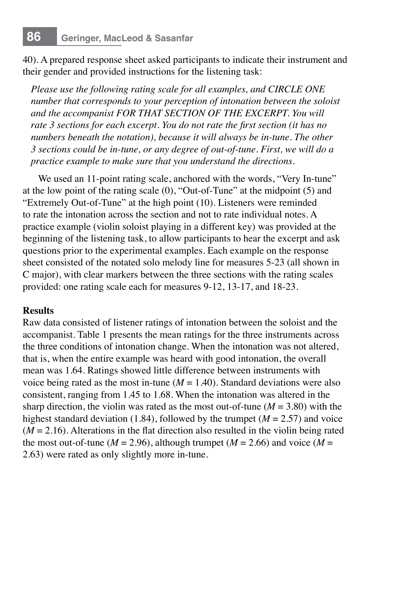40). A prepared response sheet asked participants to indicate their instrument and their gender and provided instructions for the listening task:

*Please use the following rating scale for all examples, and CIRCLE ONE number that corresponds to your perception of intonation between the soloist and the accompanist FOR THAT SECTION OF THE EXCERPT. You will rate 3 sections for each excerpt. You do not rate the first section (it has no numbers beneath the notation), because it will always be in-tune. The other 3 sections could be in-tune, or any degree of out-of-tune. First, we will do a practice example to make sure that you understand the directions.*

We used an 11-point rating scale, anchored with the words, "Very In-tune" at the low point of the rating scale (0), "Out-of-Tune" at the midpoint (5) and "Extremely Out-of-Tune" at the high point (10). Listeners were reminded to rate the intonation across the section and not to rate individual notes. A practice example (violin soloist playing in a different key) was provided at the beginning of the listening task, to allow participants to hear the excerpt and ask questions prior to the experimental examples. Each example on the response sheet consisted of the notated solo melody line for measures 5-23 (all shown in C major), with clear markers between the three sections with the rating scales provided: one rating scale each for measures 9-12, 13-17, and 18-23.

## **Results**

Raw data consisted of listener ratings of intonation between the soloist and the accompanist. Table 1 presents the mean ratings for the three instruments across the three conditions of intonation change. When the intonation was not altered, that is, when the entire example was heard with good intonation, the overall mean was 1.64. Ratings showed little difference between instruments with voice being rated as the most in-tune  $(M = 1.40)$ . Standard deviations were also consistent, ranging from 1.45 to 1.68. When the intonation was altered in the sharp direction, the violin was rated as the most out-of-tune  $(M = 3.80)$  with the highest standard deviation (1.84), followed by the trumpet (*M* = 2.57) and voice (*M* = 2.16). Alterations in the flat direction also resulted in the violin being rated the most out-of-tune ( $M = 2.96$ ), although trumpet ( $M = 2.66$ ) and voice ( $M =$ 2.63) were rated as only slightly more in-tune.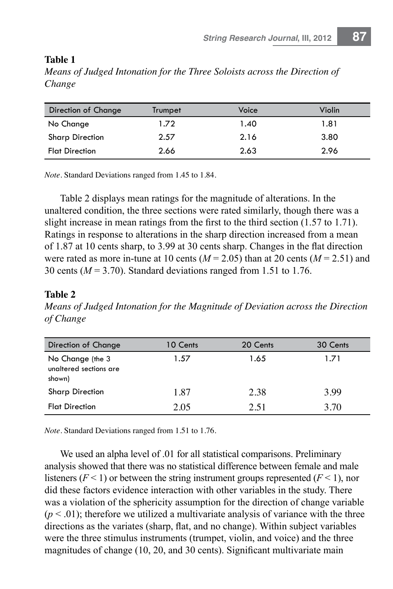### **Table 1**

*Means of Judged Intonation for the Three Soloists across the Direction of Change*

| Direction of Change    | Trumpet | Voice | Violin |
|------------------------|---------|-------|--------|
| No Change              | 1.72    | 1.40  | 1.81   |
| <b>Sharp Direction</b> | 2.57    | 2.16  | 3.80   |
| <b>Flat Direction</b>  | 2.66    | 2.63  | 2.96   |

*Note.* Standard Deviations ranged from 1.45 to 1.84.

Table 2 displays mean ratings for the magnitude of alterations. In the unaltered condition, the three sections were rated similarly, though there was a slight increase in mean ratings from the first to the third section (1.57 to 1.71). Ratings in response to alterations in the sharp direction increased from a mean of 1.87 at 10 cents sharp, to 3.99 at 30 cents sharp. Changes in the flat direction were rated as more in-tune at 10 cents  $(M = 2.05)$  than at 20 cents  $(M = 2.51)$  and 30 cents (*M* = 3.70). Standard deviations ranged from 1.51 to 1.76.

## **Table 2**

*Means of Judged Intonation for the Magnitude of Deviation across the Direction of Change*

| Direction of Change                                  | 10 Cents | 20 Cents | 30 Cents |
|------------------------------------------------------|----------|----------|----------|
| No Change (the 3<br>unaltered sections are<br>shown) | 1.57     | 1.65     | 1.71     |
| <b>Sharp Direction</b>                               | 1.87     | 2.38     | 3.99     |
| <b>Flat Direction</b>                                | 2.05     | 2.51     | 3.70     |

*Note.* Standard Deviations ranged from 1.51 to 1.76.

We used an alpha level of .01 for all statistical comparisons. Preliminary analysis showed that there was no statistical difference between female and male listeners  $(F < 1)$  or between the string instrument groups represented  $(F < 1)$ , nor did these factors evidence interaction with other variables in the study. There was a violation of the sphericity assumption for the direction of change variable  $(p < .01)$ ; therefore we utilized a multivariate analysis of variance with the three directions as the variates (sharp, flat, and no change). Within subject variables were the three stimulus instruments (trumpet, violin, and voice) and the three magnitudes of change (10, 20, and 30 cents). Significant multivariate main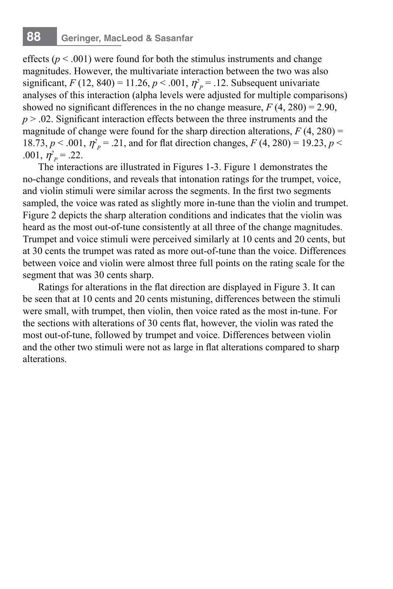effects ( $p < .001$ ) were found for both the stimulus instruments and change magnitudes. However, the multivariate interaction between the two was also significant,  $F(12, 840) = 11.26$ ,  $p < .001$ ,  $\eta_p^2 = .12$ . Subsequent univariate analyses of this interaction (alpha levels were adjusted for multiple comparisons) showed no significant differences in the no change measure,  $F(4, 280) = 2.90$ , *p* > .02. Significant interaction effects between the three instruments and the magnitude of change were found for the sharp direction alterations,  $F(4, 280) =$ 18.73,  $p < .001$ ,  $\eta^2 = .21$ , and for flat direction changes,  $F(4, 280) = 19.23$ ,  $p <$ .001,  $\eta_p^2 = 0.22$ .

The interactions are illustrated in Figures 1-3. Figure 1 demonstrates the no-change conditions, and reveals that intonation ratings for the trumpet, voice, and violin stimuli were similar across the segments. In the first two segments sampled, the voice was rated as slightly more in-tune than the violin and trumpet. Figure 2 depicts the sharp alteration conditions and indicates that the violin was heard as the most out-of-tune consistently at all three of the change magnitudes. Trumpet and voice stimuli were perceived similarly at 10 cents and 20 cents, but at 30 cents the trumpet was rated as more out-of-tune than the voice. Differences between voice and violin were almost three full points on the rating scale for the segment that was 30 cents sharp.

Ratings for alterations in the flat direction are displayed in Figure 3. It can be seen that at 10 cents and 20 cents mistuning, differences between the stimuli were small, with trumpet, then violin, then voice rated as the most in-tune. For the sections with alterations of 30 cents flat, however, the violin was rated the most out-of-tune, followed by trumpet and voice. Differences between violin and the other two stimuli were not as large in flat alterations compared to sharp alterations.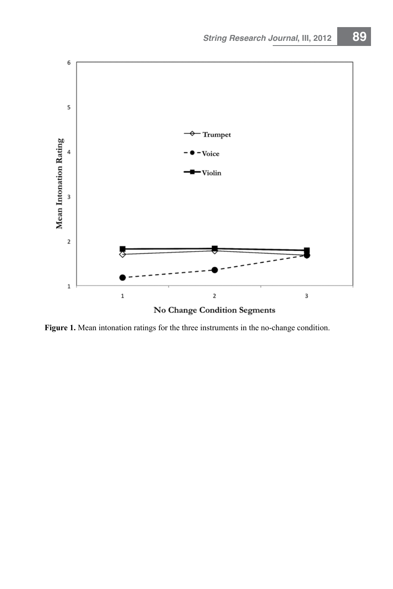

Figure 1. Mean intonation ratings for the three instruments in the no-change condition.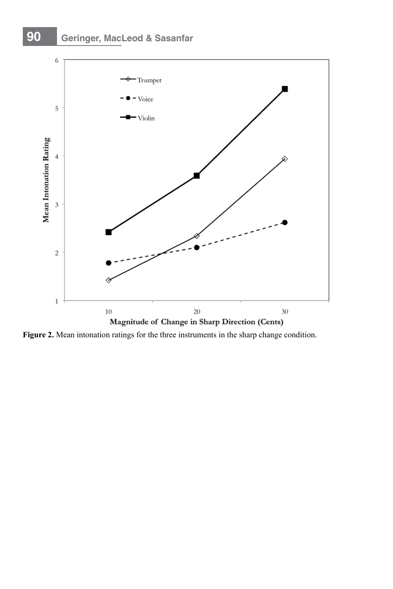# **90 Geringer, MacLeod & Sasanfar**



**Figure 2.** Mean intonation ratings for the three instruments in the sharp change condition.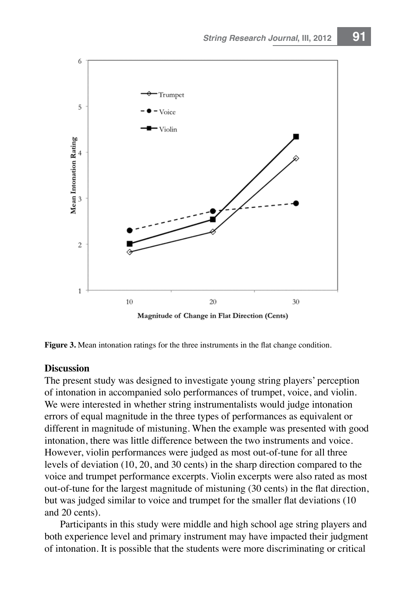

**Figure 3.** Mean intonation ratings for the three instruments in the flat change condition.

#### **Discussion**

The present study was designed to investigate young string players' perception of intonation in accompanied solo performances of trumpet, voice, and violin. We were interested in whether string instrumentalists would judge intonation errors of equal magnitude in the three types of performances as equivalent or different in magnitude of mistuning. When the example was presented with good intonation, there was little difference between the two instruments and voice. However, violin performances were judged as most out-of-tune for all three levels of deviation (10, 20, and 30 cents) in the sharp direction compared to the voice and trumpet performance excerpts. Violin excerpts were also rated as most out-of-tune for the largest magnitude of mistuning (30 cents) in the flat direction, but was judged similar to voice and trumpet for the smaller flat deviations (10 and 20 cents).

Participants in this study were middle and high school age string players and both experience level and primary instrument may have impacted their judgment of intonation. It is possible that the students were more discriminating or critical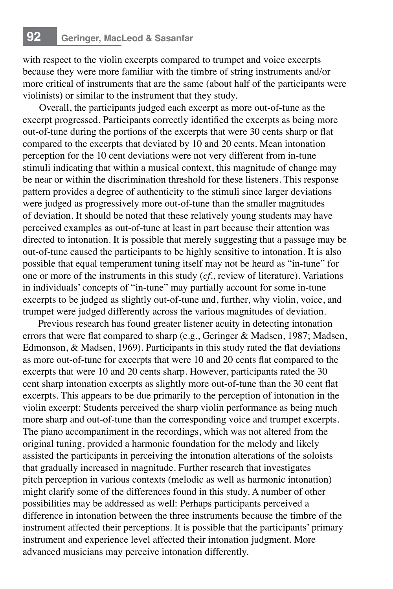with respect to the violin excerpts compared to trumpet and voice excerpts because they were more familiar with the timbre of string instruments and/or more critical of instruments that are the same (about half of the participants were violinists) or similar to the instrument that they study.

Overall, the participants judged each excerpt as more out-of-tune as the excerpt progressed. Participants correctly identified the excerpts as being more out-of-tune during the portions of the excerpts that were 30 cents sharp or flat compared to the excerpts that deviated by 10 and 20 cents. Mean intonation perception for the 10 cent deviations were not very different from in-tune stimuli indicating that within a musical context, this magnitude of change may be near or within the discrimination threshold for these listeners. This response pattern provides a degree of authenticity to the stimuli since larger deviations were judged as progressively more out-of-tune than the smaller magnitudes of deviation. It should be noted that these relatively young students may have perceived examples as out-of-tune at least in part because their attention was directed to intonation. It is possible that merely suggesting that a passage may be out-of-tune caused the participants to be highly sensitive to intonation. It is also possible that equal temperament tuning itself may not be heard as "in-tune" for one or more of the instruments in this study (*cf*., review of literature). Variations in individuals' concepts of "in-tune" may partially account for some in-tune excerpts to be judged as slightly out-of-tune and, further, why violin, voice, and trumpet were judged differently across the various magnitudes of deviation.

Previous research has found greater listener acuity in detecting intonation errors that were flat compared to sharp (e.g., Geringer & Madsen, 1987; Madsen, Edmonson, & Madsen, 1969). Participants in this study rated the flat deviations as more out-of-tune for excerpts that were 10 and 20 cents flat compared to the excerpts that were 10 and 20 cents sharp. However, participants rated the 30 cent sharp intonation excerpts as slightly more out-of-tune than the 30 cent flat excerpts. This appears to be due primarily to the perception of intonation in the violin excerpt: Students perceived the sharp violin performance as being much more sharp and out-of-tune than the corresponding voice and trumpet excerpts. The piano accompaniment in the recordings, which was not altered from the original tuning, provided a harmonic foundation for the melody and likely assisted the participants in perceiving the intonation alterations of the soloists that gradually increased in magnitude. Further research that investigates pitch perception in various contexts (melodic as well as harmonic intonation) might clarify some of the differences found in this study. A number of other possibilities may be addressed as well: Perhaps participants perceived a difference in intonation between the three instruments because the timbre of the instrument affected their perceptions. It is possible that the participants' primary instrument and experience level affected their intonation judgment. More advanced musicians may perceive intonation differently.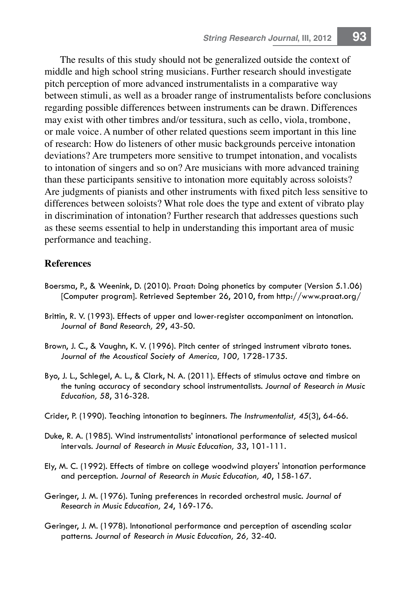The results of this study should not be generalized outside the context of middle and high school string musicians. Further research should investigate pitch perception of more advanced instrumentalists in a comparative way between stimuli, as well as a broader range of instrumentalists before conclusions regarding possible differences between instruments can be drawn. Differences may exist with other timbres and/or tessitura, such as cello, viola, trombone, or male voice. A number of other related questions seem important in this line of research: How do listeners of other music backgrounds perceive intonation deviations? Are trumpeters more sensitive to trumpet intonation, and vocalists to intonation of singers and so on? Are musicians with more advanced training than these participants sensitive to intonation more equitably across soloists? Are judgments of pianists and other instruments with fixed pitch less sensitive to differences between soloists? What role does the type and extent of vibrato play in discrimination of intonation? Further research that addresses questions such as these seems essential to help in understanding this important area of music performance and teaching.

#### **References**

- Boersma, P., & Weenink, D. (2010). Praat: Doing phonetics by computer (Version 5.1.06) [Computer program]. Retrieved September 26, 2010, from http://www.praat.org/
- Brittin, R. V. (1993). Effects of upper and lower-register accompaniment on intonation. *Journal of Band Research, 29*, 43-50.
- Brown, J. C., & Vaughn, K. V. (1996). Pitch center of stringed instrument vibrato tones. *Journal of the Acoustical Society of America, 100,* 1728-1735.
- Byo, J. L., Schlegel, A. L., & Clark, N. A. (2011). Effects of stimulus octave and timbre on the tuning accuracy of secondary school instrumentalists. *Journal of Research in Music Education, 58*, 316-328.
- Crider, P. (1990). Teaching intonation to beginners. *The Instrumentalist, 45*(3), 64-66.
- Duke, R. A. (1985). Wind instrumentalists' intonational performance of selected musical intervals. *Journal of Research in Music Education, 33*, 101-111.
- Ely, M. C. (1992). Effects of timbre on college woodwind players' intonation performance and perception. *Journal of Research in Music Education, 40*, 158-167.
- Geringer, J. M. (1976). Tuning preferences in recorded orchestral music. *Journal of Research in Music Education, 24*, 169-176.
- Geringer, J. M. (1978). Intonational performance and perception of ascending scalar patterns. *Journal of Research in Music Education, 26,* 32-40.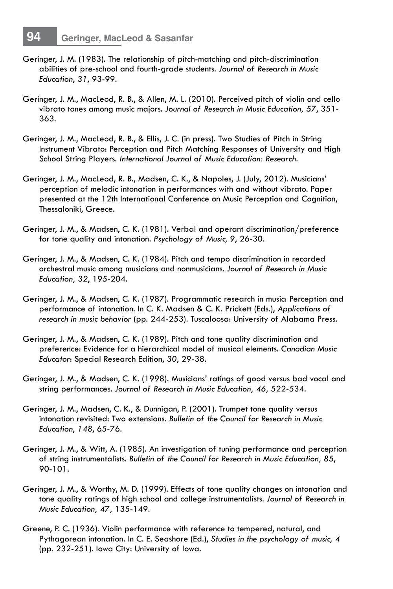- Geringer, J. M. (1983). The relationship of pitch-matching and pitch-discrimination abilities of pre-school and fourth-grade students. *Journal of Research in Music Education*, *31*, 93-99.
- Geringer, J. M., MacLeod, R. B., & Allen, M. L. (2010). Perceived pitch of violin and cello vibrato tones among music majors. *Journal of Research in Music Education, 57*, 351- 363.
- Geringer, J. M., MacLeod, R. B., & Ellis, J. C. (in press). Two Studies of Pitch in String Instrument Vibrato: Perception and Pitch Matching Responses of University and High School String Players. *International Journal of Music Education: Research*.
- Geringer, J. M., MacLeod, R. B., Madsen, C. K., & Napoles, J. (July, 2012). Musicians' perception of melodic intonation in performances with and without vibrato. Paper presented at the 12th International Conference on Music Perception and Cognition, Thessaloniki, Greece.
- Geringer, J. M., & Madsen, C. K. (1981). Verbal and operant discrimination/preference for tone quality and intonation. *Psychology of Music, 9*, 26-30.
- Geringer, J. M., & Madsen, C. K. (1984). Pitch and tempo discrimination in recorded orchestral music among musicians and nonmusicians. *Journal of Research in Music Education, 32*, 195-204.
- Geringer, J. M., & Madsen, C. K. (1987). Programmatic research in music: Perception and performance of intonation. In C. K. Madsen & C. K. Prickett (Eds.), *Applications of research in music behavior* (pp. 244-253). Tuscaloosa: University of Alabama Press.
- Geringer, J. M., & Madsen, C. K. (1989). Pitch and tone quality discrimination and preference: Evidence for a hierarchical model of musical elements. *Canadian Music Educator*: Special Research Edition, *30*, 29-38.
- Geringer, J. M., & Madsen, C. K. (1998). Musicians' ratings of good versus bad vocal and string performances. *Journal of Research in Music Education, 46,* 522-534.
- Geringer, J. M., Madsen, C. K., & Dunnigan, P. (2001). Trumpet tone quality versus intonation revisited: Two extensions. *Bulletin of the Council for Research in Music Education*, *148*, 65-76.
- Geringer, J. M., & Witt, A. (1985). An investigation of tuning performance and perception of string instrumentalists. *Bulletin of the Council for Research in Music Education, 85*, 90-101.
- Geringer, J. M., & Worthy, M. D. (1999). Effects of tone quality changes on intonation and tone quality ratings of high school and college instrumentalists. *Journal of Research in Music Education, 47,* 135-149.
- Greene, P. C. (1936). Violin performance with reference to tempered, natural, and Pythagorean intonation. In C. E. Seashore (Ed.), *Studies in the psychology of music, 4*  (pp. 232-251). Iowa City: University of Iowa.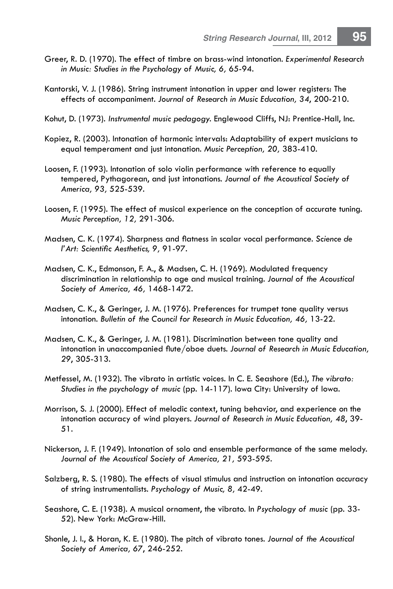- Greer, R. D. (1970). The effect of timbre on brass-wind intonation. *Experimental Research in Music: Studies in the Psychology of Music, 6,* 65-94.
- Kantorski, V. J. (1986). String instrument intonation in upper and lower registers: The effects of accompaniment. *Journal of Research in Music Education, 34*, 200-210.
- Kohut, D. (1973). *Instrumental music pedagogy.* Englewood Cliffs, NJ: Prentice-Hall, Inc.
- Kopiez, R. (2003). Intonation of harmonic intervals: Adaptability of expert musicians to equal temperament and just intonation. *Music Perception, 20,* 383-410.
- Loosen, F. (1993). Intonation of solo violin performance with reference to equally tempered, Pythagorean, and just intonations. *Journal of the Acoustical Society of America, 93,* 525-539*.*
- Loosen, F. (1995). The effect of musical experience on the conception of accurate tuning. *Music Perception, 12,* 291-306.
- Madsen, C. K. (1974). Sharpness and flatness in scalar vocal performance. *Science de l'Art: Scientific Aesthetics, 9,* 91-97.
- Madsen, C. K., Edmonson, F. A., & Madsen, C. H. (1969). Modulated frequency discrimination in relationship to age and musical training. *Journal of the Acoustical Society of America, 46,* 1468-1472.
- Madsen, C. K., & Geringer, J. M. (1976). Preferences for trumpet tone quality versus intonation. *Bulletin of the Council for Research in Music Education, 46,* 13-22.
- Madsen, C. K., & Geringer, J. M. (1981). Discrimination between tone quality and intonation in unaccompanied flute/oboe duets. *Journal of Research in Music Education, 29*, 305-313.
- Metfessel, M. (1932). The vibrato in artistic voices. In C. E. Seashore (Ed.), *The vibrato: Studies in the psychology of music* (pp. 14-117). Iowa City: University of Iowa.
- Morrison, S. J. (2000). Effect of melodic context, tuning behavior, and experience on the intonation accuracy of wind players. *Journal of Research in Music Education, 48*, 39- 51.
- Nickerson, J. F. (1949). Intonation of solo and ensemble performance of the same melody. *Journal of the Acoustical Society of America, 21,* 593-595*.*
- Salzberg, R. S. (1980). The effects of visual stimulus and instruction on intonation accuracy of string instrumentalists. *Psychology of Music, 8,* 42-49.
- Seashore, C. E. (1938). A musical ornament, the vibrato. In *Psychology of music* (pp. 33- 52). New York: McGraw-Hill.
- Shonle, J. I., & Horan, K. E. (1980). The pitch of vibrato tones. *Journal of the Acoustical Society of America, 67*, 246-252.